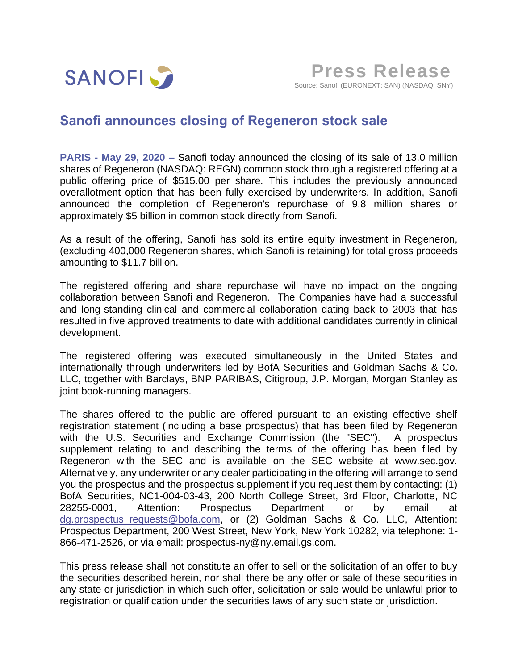

## **Sanofi announces closing of Regeneron stock sale**

**PARIS - May 29, 2020 –** Sanofi today announced the closing of its sale of 13.0 million shares of Regeneron (NASDAQ: REGN) common stock through a registered offering at a public offering price of \$515.00 per share. This includes the previously announced overallotment option that has been fully exercised by underwriters. In addition, Sanofi announced the completion of Regeneron's repurchase of 9.8 million shares or approximately \$5 billion in common stock directly from Sanofi.

As a result of the offering, Sanofi has sold its entire equity investment in Regeneron, (excluding 400,000 Regeneron shares, which Sanofi is retaining) for total gross proceeds amounting to \$11.7 billion.

The registered offering and share repurchase will have no impact on the ongoing collaboration between Sanofi and Regeneron. The Companies have had a successful and long-standing clinical and commercial collaboration dating back to 2003 that has resulted in five approved treatments to date with additional candidates currently in clinical development.

The registered offering was executed simultaneously in the United States and internationally through underwriters led by BofA Securities and Goldman Sachs & Co. LLC, together with Barclays, BNP PARIBAS, Citigroup, J.P. Morgan, Morgan Stanley as joint book-running managers.

The shares offered to the public are offered pursuant to an existing effective shelf registration statement (including a base prospectus) that has been filed by Regeneron with the U.S. Securities and Exchange Commission (the "SEC"). A prospectus supplement relating to and describing the terms of the offering has been filed by Regeneron with the SEC and is available on the SEC website at www.sec.gov. Alternatively, any underwriter or any dealer participating in the offering will arrange to send you the prospectus and the prospectus supplement if you request them by contacting: (1) BofA Securities, NC1-004-03-43, 200 North College Street, 3rd Floor, Charlotte, NC 28255-0001, Attention: Prospectus Department or by email at [dg.prospectus\\_requests@bofa.com,](mailto:dg.prospectus_requests@bofa.com) or (2) Goldman Sachs & Co. LLC, Attention: Prospectus Department, 200 West Street, New York, New York 10282, via telephone: 1- 866-471-2526, or via email: prospectus-ny@ny.email.gs.com.

This press release shall not constitute an offer to sell or the solicitation of an offer to buy the securities described herein, nor shall there be any offer or sale of these securities in any state or jurisdiction in which such offer, solicitation or sale would be unlawful prior to registration or qualification under the securities laws of any such state or jurisdiction.